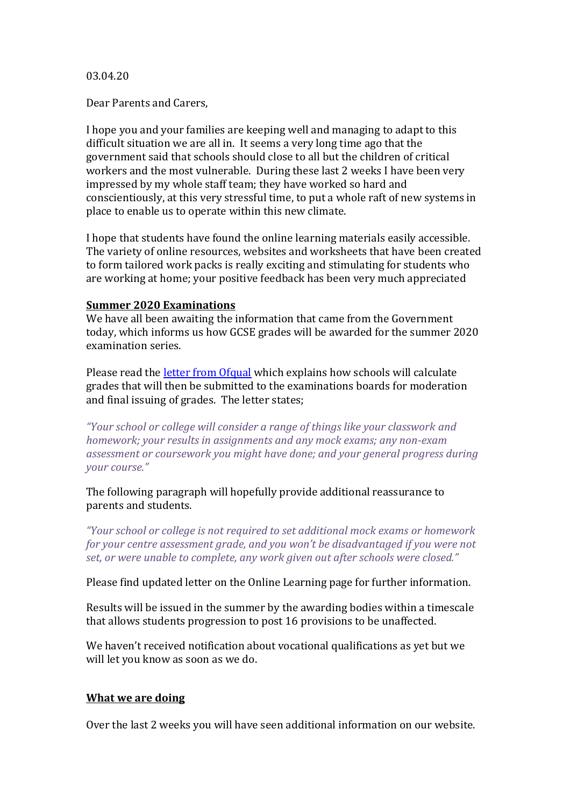### 03.04.20

Dear Parents and Carers,

I hope you and your families are keeping well and managing to adapt to this difficult situation we are all in. It seems a very long time ago that the government said that schools should close to all but the children of critical workers and the most vulnerable. During these last 2 weeks I have been very impressed by my whole staff team; they have worked so hard and conscientiously, at this very stressful time, to put a whole raft of new systems in place to enable us to operate within this new climate.

I hope that students have found the online learning materials easily accessible. The variety of online resources, websites and worksheets that have been created to form tailored work packs is really exciting and stimulating for students who are working at home; your positive feedback has been very much appreciated

## **Summer 2020 Examinations**

We have all been awaiting the information that came from the Government today, which informs us how GCSE grades will be awarded for the summer 2020 examination series.

Please read th[e letter from Ofqual](Letter%20to%20students%20Summer%202020%20grading.pdf) which explains how schools will calculate grades that will then be submitted to the examinations boards for moderation and final issuing of grades. The letter states;

*"Your school or college will consider a range of things like your classwork and homework; your results in assignments and any mock exams; any non-exam assessment or coursework you might have done; and your general progress during your course."*

The following paragraph will hopefully provide additional reassurance to parents and students.

*"Your school or college is not required to set additional mock exams or homework for your centre assessment grade, and you won't be disadvantaged if you were not set, or were unable to complete, any work given out after schools were closed."*

Please find updated letter on the Online Learning page for further information.

Results will be issued in the summer by the awarding bodies within a timescale that allows students progression to post 16 provisions to be unaffected.

We haven't received notification about vocational qualifications as yet but we will let you know as soon as we do.

## **What we are doing**

Over the last 2 weeks you will have seen additional information on our website.